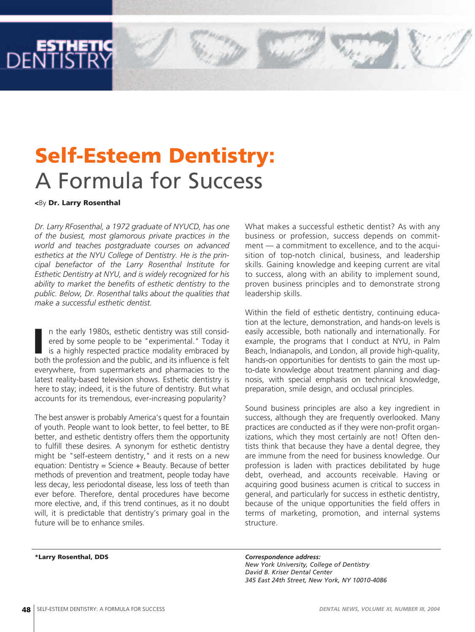## **Self-Esteem Dentistry:** A Formula for Success

## **<**By **Dr. Larry Rosenthal**

*Dr. Larry RFosenthal, a 1972 graduate of NYUCD, has one of the busiest, most glamorous private practices in the world and teaches postgraduate courses on advanced esthetics at the NYU College of Dentistry. He is the principal benefactor of the Larry Rosenthal Institute for Esthetic Dentistry at NYU, and is widely recognized for his ability to market the benefits of esthetic dentistry to the public. Below, Dr. Rosenthal talks about the qualities that make a successful esthetic dentist.* 

II n the early 1980s, esthetic dentistry was still considered by some people to be "experimental." Today it is a highly respected practice modality embraced by both the profession and the public, and its influence is felt n the early 1980s, esthetic dentistry was still considered by some people to be "experimental." Today it is a highly respected practice modality embraced by everywhere, from supermarkets and pharmacies to the latest reality-based television shows. Esthetic dentistry is here to stay; indeed, it is the future of dentistry. But what accounts for its tremendous, ever-increasing popularity?

The best answer is probably America's quest for a fountain of youth. People want to look better, to feel better, to BE better, and esthetic dentistry offers them the opportunity to fulfill these desires. A synonym for esthetic dentistry might be "self-esteem dentistry," and it rests on a new equation: Dentistry = Science  $+$  Beauty. Because of better methods of prevention and treatment, people today have less decay, less periodontal disease, less loss of teeth than ever before. Therefore, dental procedures have become more elective, and, if this trend continues, as it no doubt will, it is predictable that dentistry's primary goal in the future will be to enhance smiles.

What makes a successful esthetic dentist? As with any business or profession, success depends on commitment — a commitment to excellence, and to the acquisition of top-notch clinical, business, and leadership skills. Gaining knowledge and keeping current are vital to success, along with an ability to implement sound, proven business principles and to demonstrate strong leadership skills.

Within the field of esthetic dentistry, continuing education at the lecture, demonstration, and hands-on levels is easily accessible, both nationally and internationally. For example, the programs that I conduct at NYU, in Palm Beach, Indianapolis, and London, all provide high-quality, hands-on opportunities for dentists to gain the most upto-date knowledge about treatment planning and diagnosis, with special emphasis on technical knowledge, preparation, smile design, and occlusal principles.

Sound business principles are also a key ingredient in success, although they are frequently overlooked. Many practices are conducted as if they were non-profit organizations, which they most certainly are not! Often dentists think that because they have a dental degree, they are immune from the need for business knowledge. Our profession is laden with practices debilitated by huge debt, overhead, and accounts receivable. Having or acquiring good business acumen is critical to success in general, and particularly for success in esthetic dentistry, because of the unique opportunities the field offers in terms of marketing, promotion, and internal systems structure.

**\*Larry Rosenthal, DDS** *Correspondence address: New York University, College of Dentistry David B. Kriser Dental Center 345 East 24th Street, New York, NY 10010-4086*